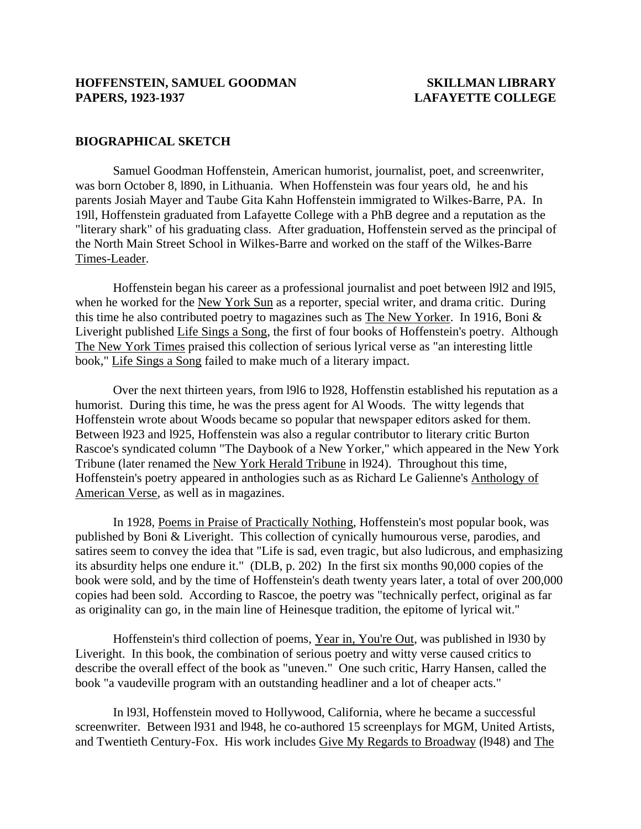#### **BIOGRAPHICAL SKETCH**

 Samuel Goodman Hoffenstein, American humorist, journalist, poet, and screenwriter, was born October 8, l890, in Lithuania. When Hoffenstein was four years old, he and his parents Josiah Mayer and Taube Gita Kahn Hoffenstein immigrated to Wilkes-Barre, PA. In 19ll, Hoffenstein graduated from Lafayette College with a PhB degree and a reputation as the "literary shark" of his graduating class. After graduation, Hoffenstein served as the principal of the North Main Street School in Wilkes-Barre and worked on the staff of the Wilkes-Barre Times-Leader.

 Hoffenstein began his career as a professional journalist and poet between l9l2 and l9l5, when he worked for the New York Sun as a reporter, special writer, and drama critic. During this time he also contributed poetry to magazines such as The New Yorker. In 1916, Boni & Liveright published Life Sings a Song, the first of four books of Hoffenstein's poetry. Although The New York Times praised this collection of serious lyrical verse as "an interesting little book," Life Sings a Song failed to make much of a literary impact.

 Over the next thirteen years, from l9l6 to l928, Hoffenstin established his reputation as a humorist. During this time, he was the press agent for Al Woods. The witty legends that Hoffenstein wrote about Woods became so popular that newspaper editors asked for them. Between l923 and l925, Hoffenstein was also a regular contributor to literary critic Burton Rascoe's syndicated column "The Daybook of a New Yorker," which appeared in the New York Tribune (later renamed the New York Herald Tribune in l924). Throughout this time, Hoffenstein's poetry appeared in anthologies such as as Richard Le Galienne's Anthology of American Verse, as well as in magazines.

 In 1928, Poems in Praise of Practically Nothing, Hoffenstein's most popular book, was published by Boni & Liveright. This collection of cynically humourous verse, parodies, and satires seem to convey the idea that "Life is sad, even tragic, but also ludicrous, and emphasizing its absurdity helps one endure it." (DLB, p. 202) In the first six months 90,000 copies of the book were sold, and by the time of Hoffenstein's death twenty years later, a total of over 200,000 copies had been sold. According to Rascoe, the poetry was "technically perfect, original as far as originality can go, in the main line of Heinesque tradition, the epitome of lyrical wit."

 Hoffenstein's third collection of poems, Year in, You're Out, was published in l930 by Liveright. In this book, the combination of serious poetry and witty verse caused critics to describe the overall effect of the book as "uneven." One such critic, Harry Hansen, called the book "a vaudeville program with an outstanding headliner and a lot of cheaper acts."

 In l93l, Hoffenstein moved to Hollywood, California, where he became a successful screenwriter. Between l931 and l948, he co-authored 15 screenplays for MGM, United Artists, and Twentieth Century-Fox. His work includes Give My Regards to Broadway (l948) and The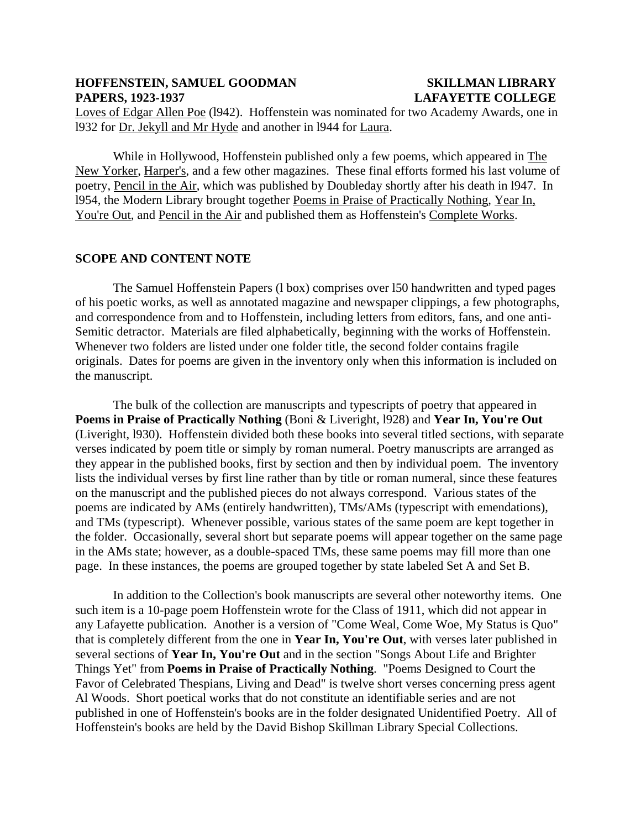Loves of Edgar Allen Poe (l942). Hoffenstein was nominated for two Academy Awards, one in l932 for Dr. Jekyll and Mr Hyde and another in l944 for Laura.

 While in Hollywood, Hoffenstein published only a few poems, which appeared in The New Yorker, Harper's, and a few other magazines. These final efforts formed his last volume of poetry, Pencil in the Air, which was published by Doubleday shortly after his death in l947. In l954, the Modern Library brought together Poems in Praise of Practically Nothing, Year In, You're Out, and Pencil in the Air and published them as Hoffenstein's Complete Works.

#### **SCOPE AND CONTENT NOTE**

 The Samuel Hoffenstein Papers (l box) comprises over l50 handwritten and typed pages of his poetic works, as well as annotated magazine and newspaper clippings, a few photographs, and correspondence from and to Hoffenstein, including letters from editors, fans, and one anti-Semitic detractor. Materials are filed alphabetically, beginning with the works of Hoffenstein. Whenever two folders are listed under one folder title, the second folder contains fragile originals. Dates for poems are given in the inventory only when this information is included on the manuscript.

 The bulk of the collection are manuscripts and typescripts of poetry that appeared in **Poems in Praise of Practically Nothing** (Boni & Liveright, l928) and **Year In, You're Out** (Liveright, l930). Hoffenstein divided both these books into several titled sections, with separate verses indicated by poem title or simply by roman numeral. Poetry manuscripts are arranged as they appear in the published books, first by section and then by individual poem. The inventory lists the individual verses by first line rather than by title or roman numeral, since these features on the manuscript and the published pieces do not always correspond. Various states of the poems are indicated by AMs (entirely handwritten), TMs/AMs (typescript with emendations), and TMs (typescript). Whenever possible, various states of the same poem are kept together in the folder. Occasionally, several short but separate poems will appear together on the same page in the AMs state; however, as a double-spaced TMs, these same poems may fill more than one page. In these instances, the poems are grouped together by state labeled Set A and Set B.

 In addition to the Collection's book manuscripts are several other noteworthy items. One such item is a 10-page poem Hoffenstein wrote for the Class of 1911, which did not appear in any Lafayette publication. Another is a version of "Come Weal, Come Woe, My Status is Quo" that is completely different from the one in **Year In, You're Out**, with verses later published in several sections of **Year In, You're Out** and in the section "Songs About Life and Brighter Things Yet" from **Poems in Praise of Practically Nothing**. "Poems Designed to Court the Favor of Celebrated Thespians, Living and Dead" is twelve short verses concerning press agent Al Woods. Short poetical works that do not constitute an identifiable series and are not published in one of Hoffenstein's books are in the folder designated Unidentified Poetry. All of Hoffenstein's books are held by the David Bishop Skillman Library Special Collections.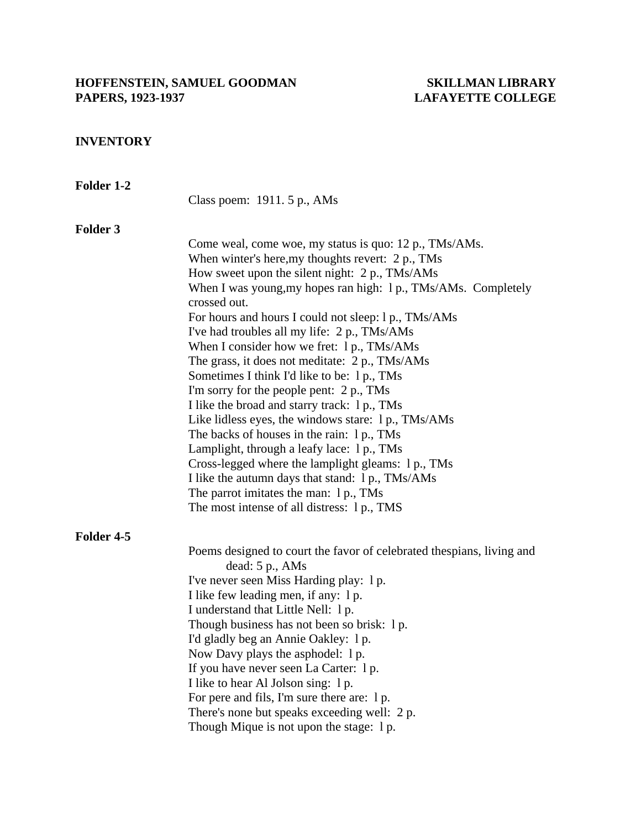# **HOFFENSTEIN, SAMUEL GOODMAN SKILLMAN LIBRARY PAPERS, 1923-1937**

## **LAFAYETTE COLLEGE**

### **INVENTORY**

| Folder 1-2 |                                                                                           |
|------------|-------------------------------------------------------------------------------------------|
|            | Class poem: 1911. 5 p., AMs                                                               |
| Folder 3   |                                                                                           |
|            | Come weal, come woe, my status is quo: 12 p., TMs/AMs.                                    |
|            | When winter's here, my thoughts revert: 2 p., TMs                                         |
|            | How sweet upon the silent night: 2 p., TMs/AMs                                            |
|            | When I was young, my hopes ran high: 1 p., TMs/AMs. Completely<br>crossed out.            |
|            | For hours and hours I could not sleep: 1 p., TMs/AMs                                      |
|            | I've had troubles all my life: 2 p., TMs/AMs                                              |
|            | When I consider how we fret: 1 p., TMs/AMs                                                |
|            | The grass, it does not meditate: 2 p., TMs/AMs                                            |
|            | Sometimes I think I'd like to be: 1 p., TMs                                               |
|            | I'm sorry for the people pent: 2 p., TMs                                                  |
|            | I like the broad and starry track: 1 p., TMs                                              |
|            | Like lidless eyes, the windows stare: 1 p., TMs/AMs                                       |
|            | The backs of houses in the rain: 1 p., TMs                                                |
|            | Lamplight, through a leafy lace: 1 p., TMs                                                |
|            | Cross-legged where the lamplight gleams: 1 p., TMs                                        |
|            | I like the autumn days that stand: 1 p., TMs/AMs                                          |
|            | The parrot imitates the man: 1 p., TMs                                                    |
|            | The most intense of all distress: 1 p., TMS                                               |
| Folder 4-5 |                                                                                           |
|            | Poems designed to court the favor of celebrated the spians, living and<br>dead: 5 p., AMs |
|            | I've never seen Miss Harding play: 1 p.                                                   |
|            | I like few leading men, if any: 1 p.                                                      |
|            | I understand that Little Nell: 1 p.                                                       |
|            | Though business has not been so brisk: 1 p.                                               |
|            | I'd gladly beg an Annie Oakley: 1p.                                                       |
|            | Now Davy plays the asphodel: 1 p.                                                         |
|            | If you have never seen La Carter: 1 p.                                                    |
|            | I like to hear Al Jolson sing: 1 p.                                                       |
|            | For pere and fils, I'm sure there are: 1 p.                                               |
|            | There's none but speaks exceeding well: 2 p.                                              |
|            | Though Mique is not upon the stage: 1 p.                                                  |
|            |                                                                                           |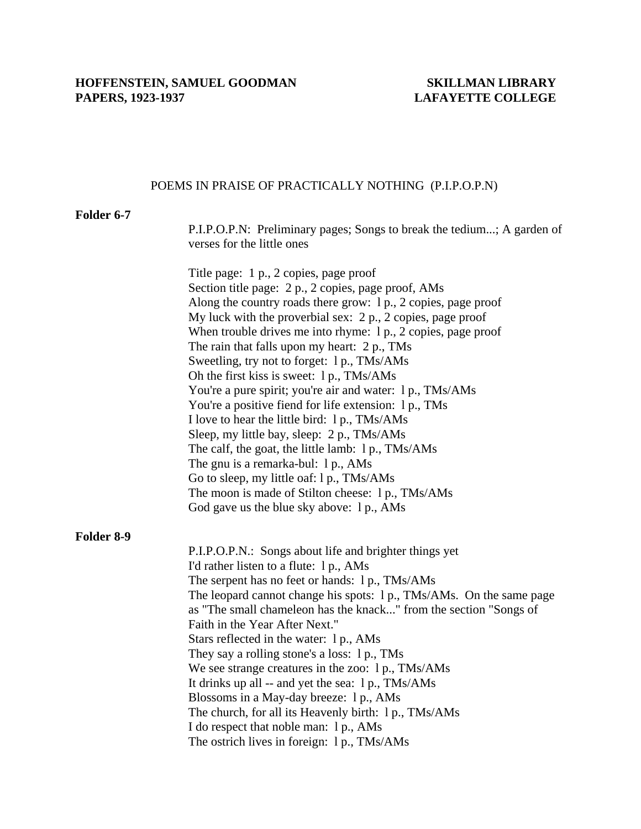## **LAFAYETTE COLLEGE**

### POEMS IN PRAISE OF PRACTICALLY NOTHING (P.I.P.O.P.N)

### **Folder 6-7**

 P.I.P.O.P.N: Preliminary pages; Songs to break the tedium...; A garden of verses for the little ones

|            | Title page: 1 p., 2 copies, page proof<br>Section title page: 2 p., 2 copies, page proof, AMs<br>Along the country roads there grow: 1 p., 2 copies, page proof<br>My luck with the proverbial sex: $2 p, 2 copies$ , page proof<br>When trouble drives me into rhyme: $1 p., 2 copies, page proof$<br>The rain that falls upon my heart: 2 p., TMs<br>Sweetling, try not to forget: 1 p., TMs/AMs<br>Oh the first kiss is sweet: 1 p., TMs/AMs<br>You're a pure spirit; you're air and water: 1 p., TMs/AMs<br>You're a positive fiend for life extension: 1 p., TMs<br>I love to hear the little bird: 1 p., TMs/AMs<br>Sleep, my little bay, sleep: 2 p., TMs/AMs<br>The calf, the goat, the little lamb: 1 p., TMs/AMs<br>The gnu is a remarka-bul: 1 p., AMs<br>Go to sleep, my little oaf: 1 p., TMs/AMs<br>The moon is made of Stilton cheese: 1 p., TMs/AMs<br>God gave us the blue sky above: 1 p., AMs |
|------------|------------------------------------------------------------------------------------------------------------------------------------------------------------------------------------------------------------------------------------------------------------------------------------------------------------------------------------------------------------------------------------------------------------------------------------------------------------------------------------------------------------------------------------------------------------------------------------------------------------------------------------------------------------------------------------------------------------------------------------------------------------------------------------------------------------------------------------------------------------------------------------------------------------------|
| Folder 8-9 | P.I.P.O.P.N.: Songs about life and brighter things yet<br>I'd rather listen to a flute: 1 p., AMs<br>The serpent has no feet or hands: 1 p., TMs/AMs<br>The leopard cannot change his spots: 1 p., TMs/AMs. On the same page<br>as "The small chameleon has the knack" from the section "Songs of<br>Faith in the Year After Next."<br>Stars reflected in the water: 1 p., AMs<br>They say a rolling stone's a loss: 1 p., TMs<br>We see strange creatures in the zoo: 1 p., TMs/AMs<br>It drinks up all -- and yet the sea: 1 p., TMs/AMs<br>Blossoms in a May-day breeze: 1 p., AMs<br>The church, for all its Heavenly birth: 1 p., TMs/AMs<br>I do respect that noble man: 1 p., AMs<br>The ostrich lives in foreign: 1 p., TMs/AMs                                                                                                                                                                          |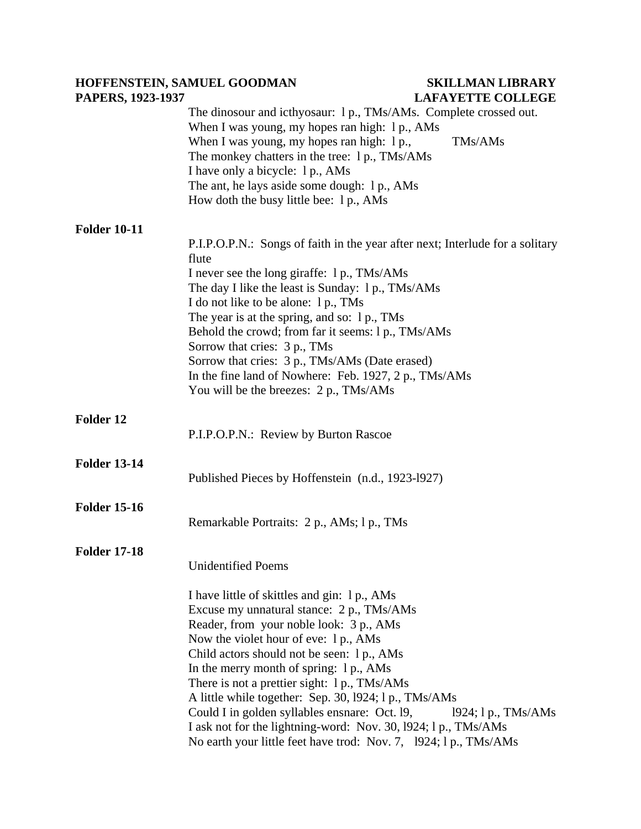# **HOFFENSTEIN, SAMUEL GOODMAN SKILLMAN LIBRARY PAPERS, 1923-1937**

## **LAFAYETTE COLLEGE**

|                     | The dinosour and icthyosaur: 1 p., TMs/AMs. Complete crossed out.<br>When I was young, my hopes ran high: 1 p., AMs<br>When I was young, my hopes ran high: 1 p.,<br>TMs/AMs<br>The monkey chatters in the tree: 1 p., TMs/AMs<br>I have only a bicycle: 1 p., AMs<br>The ant, he lays aside some dough: 1 p., AMs<br>How doth the busy little bee: 1 p., AMs                                                                                                                                                                                                                                                                |
|---------------------|------------------------------------------------------------------------------------------------------------------------------------------------------------------------------------------------------------------------------------------------------------------------------------------------------------------------------------------------------------------------------------------------------------------------------------------------------------------------------------------------------------------------------------------------------------------------------------------------------------------------------|
| <b>Folder 10-11</b> | P.I.P.O.P.N.: Songs of faith in the year after next; Interlude for a solitary<br>flute<br>I never see the long giraffe: 1 p., TMs/AMs<br>The day I like the least is Sunday: 1 p., TMs/AMs<br>I do not like to be alone: 1 p., TMs<br>The year is at the spring, and so: 1 p., TMs<br>Behold the crowd; from far it seems: 1 p., TMs/AMs<br>Sorrow that cries: 3 p., TMs<br>Sorrow that cries: 3 p., TMs/AMs (Date erased)<br>In the fine land of Nowhere: Feb. 1927, 2 p., TMs/AMs<br>You will be the breezes: 2 p., TMs/AMs                                                                                                |
| Folder 12           | P.I.P.O.P.N.: Review by Burton Rascoe                                                                                                                                                                                                                                                                                                                                                                                                                                                                                                                                                                                        |
| <b>Folder 13-14</b> | Published Pieces by Hoffenstein (n.d., 1923-1927)                                                                                                                                                                                                                                                                                                                                                                                                                                                                                                                                                                            |
| <b>Folder 15-16</b> | Remarkable Portraits: 2 p., AMs; 1 p., TMs                                                                                                                                                                                                                                                                                                                                                                                                                                                                                                                                                                                   |
| <b>Folder 17-18</b> | <b>Unidentified Poems</b><br>I have little of skittles and gin: 1 p., AMs<br>Excuse my unnatural stance: 2 p., TMs/AMs<br>Reader, from your noble look: 3 p., AMs<br>Now the violet hour of eve: 1 p., AMs<br>Child actors should not be seen: 1 p., AMs<br>In the merry month of spring: 1 p., AMs<br>There is not a prettier sight: 1 p., TMs/AMs<br>A little while together: Sep. 30, 1924; 1 p., TMs/AMs<br>Could I in golden syllables ensnare: Oct. 19,<br>1924; $1 p., TMs/AMS$<br>I ask not for the lightning-word: Nov. 30, 1924; 1 p., TMs/AMs<br>No earth your little feet have trod: Nov. 7, 1924; 1 p., TMs/AMs |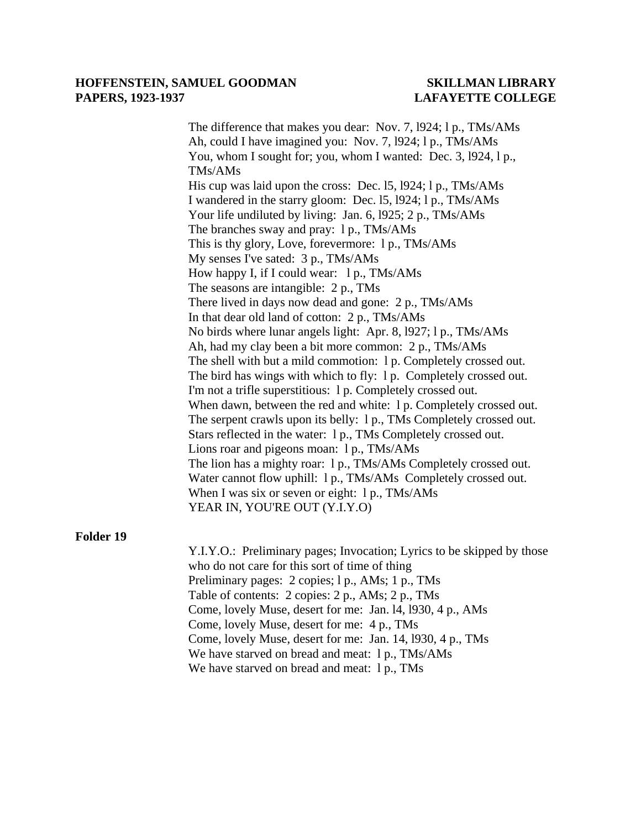The difference that makes you dear: Nov. 7, l924; l p., TMs/AMs Ah, could I have imagined you: Nov. 7, l924; l p., TMs/AMs You, whom I sought for; you, whom I wanted: Dec. 3, 1924, 1 p., TMs/AMs His cup was laid upon the cross: Dec. l5, l924; l p., TMs/AMs I wandered in the starry gloom: Dec. l5, l924; l p., TMs/AMs Your life undiluted by living: Jan. 6, 1925; 2 p., TMs/AMs The branches sway and pray: l p., TMs/AMs This is thy glory, Love, forevermore: l p., TMs/AMs My senses I've sated: 3 p., TMs/AMs How happy I, if I could wear: l p., TMs/AMs The seasons are intangible: 2 p., TMs There lived in days now dead and gone: 2 p., TMs/AMs In that dear old land of cotton: 2 p., TMs/AMs No birds where lunar angels light: Apr. 8, l927; l p., TMs/AMs Ah, had my clay been a bit more common: 2 p., TMs/AMs The shell with but a mild commotion: l p. Completely crossed out. The bird has wings with which to fly: l p. Completely crossed out. I'm not a trifle superstitious: l p. Completely crossed out. When dawn, between the red and white: 1 p. Completely crossed out. The serpent crawls upon its belly: l p., TMs Completely crossed out. Stars reflected in the water: l p., TMs Completely crossed out. Lions roar and pigeons moan: l p., TMs/AMs The lion has a mighty roar: l p., TMs/AMs Completely crossed out. Water cannot flow uphill: l p., TMs/AMs Completely crossed out. When I was six or seven or eight: l p., TMs/AMs YEAR IN, YOU'RE OUT (Y.I.Y.O)

#### **Folder 19**

 Y.I.Y.O.: Preliminary pages; Invocation; Lyrics to be skipped by those who do not care for this sort of time of thing Preliminary pages: 2 copies; l p., AMs; 1 p., TMs Table of contents: 2 copies: 2 p., AMs; 2 p., TMs Come, lovely Muse, desert for me: Jan. l4, l930, 4 p., AMs Come, lovely Muse, desert for me: 4 p., TMs Come, lovely Muse, desert for me: Jan. 14, l930, 4 p., TMs We have starved on bread and meat: l p., TMs/AMs We have starved on bread and meat: l p., TMs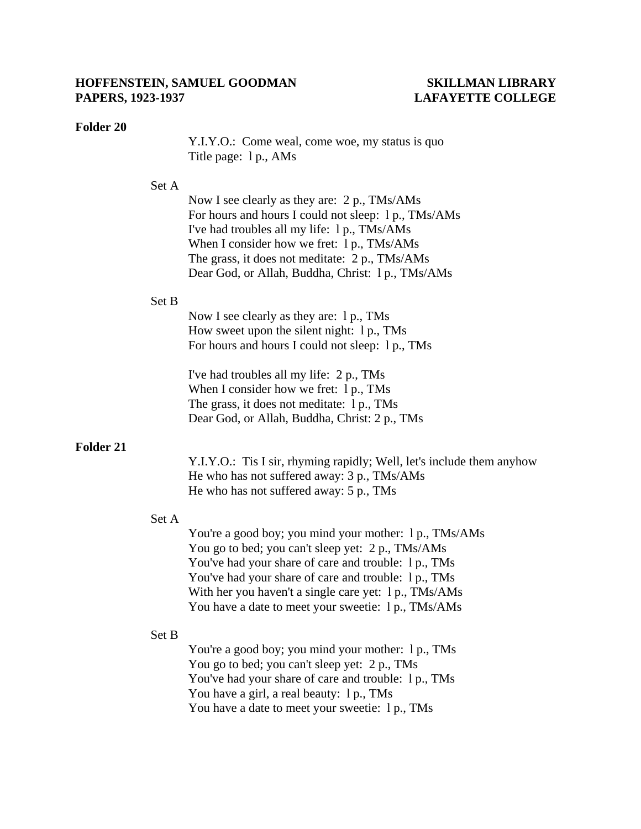#### **Folder 20**

 Y.I.Y.O.: Come weal, come woe, my status is quo Title page: l p., AMs

#### Set A

 Now I see clearly as they are: 2 p., TMs/AMs For hours and hours I could not sleep: l p., TMs/AMs I've had troubles all my life: l p., TMs/AMs When I consider how we fret: 1 p., TMs/AMs The grass, it does not meditate: 2 p., TMs/AMs Dear God, or Allah, Buddha, Christ: l p., TMs/AMs

#### Set B

 Now I see clearly as they are: l p., TMs How sweet upon the silent night: l p., TMs For hours and hours I could not sleep: l p., TMs

 I've had troubles all my life: 2 p., TMs When I consider how we fret: 1 p., TMs The grass, it does not meditate: l p., TMs Dear God, or Allah, Buddha, Christ: 2 p., TMs

#### **Folder 21**

 Y.I.Y.O.: Tis I sir, rhyming rapidly; Well, let's include them anyhow He who has not suffered away: 3 p., TMs/AMs He who has not suffered away: 5 p., TMs

#### Set A

You're a good boy; you mind your mother: 1 p., TMs/AMs You go to bed; you can't sleep yet: 2 p., TMs/AMs You've had your share of care and trouble: l p., TMs You've had your share of care and trouble: l p., TMs With her you haven't a single care yet: l p., TMs/AMs You have a date to meet your sweetie: l p., TMs/AMs

#### Set B

You're a good boy; you mind your mother: 1 p., TMs You go to bed; you can't sleep yet: 2 p., TMs You've had your share of care and trouble: l p., TMs You have a girl, a real beauty: 1 p., TMs You have a date to meet your sweetie: l p., TMs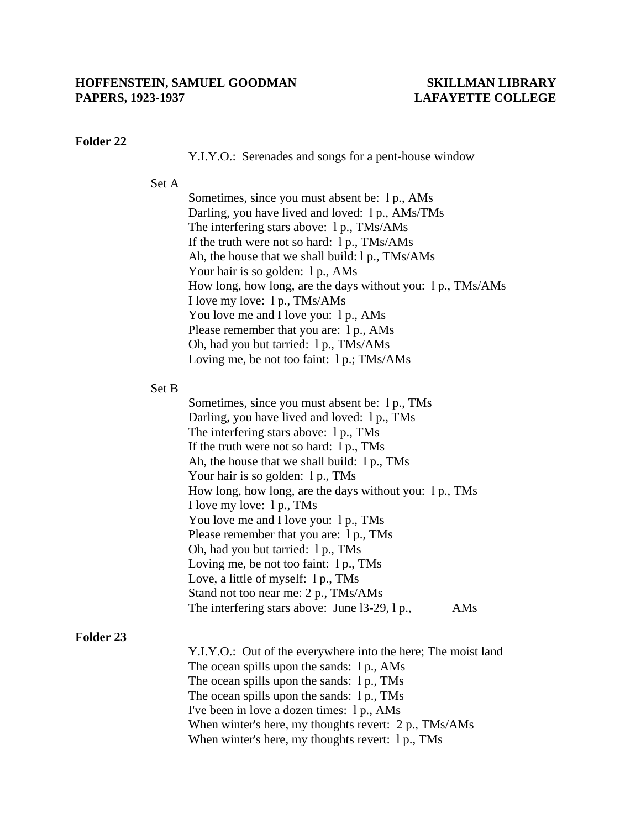#### **Folder 22**

#### Y.I.Y.O.: Serenades and songs for a pent-house window

Set A

 Sometimes, since you must absent be: l p., AMs Darling, you have lived and loved: l p., AMs/TMs The interfering stars above: l p., TMs/AMs If the truth were not so hard: l p., TMs/AMs Ah, the house that we shall build: l p., TMs/AMs Your hair is so golden: 1 p., AMs How long, how long, are the days without you: l p., TMs/AMs I love my love: l p., TMs/AMs You love me and I love you: 1 p., AMs Please remember that you are: l p., AMs Oh, had you but tarried: l p., TMs/AMs Loving me, be not too faint: l p.; TMs/AMs

#### Set B

 Sometimes, since you must absent be: l p., TMs Darling, you have lived and loved: l p., TMs The interfering stars above: l p., TMs If the truth were not so hard: l p., TMs Ah, the house that we shall build: l p., TMs Your hair is so golden: 1 p., TMs How long, how long, are the days without you: l p., TMs I love my love: l p., TMs You love me and I love you: 1 p., TMs Please remember that you are: l p., TMs Oh, had you but tarried: l p., TMs Loving me, be not too faint: l p., TMs Love, a little of myself: l p., TMs Stand not too near me: 2 p., TMs/AMs The interfering stars above: June 13-29, 1 p., AMs

#### **Folder 23**

 Y.I.Y.O.: Out of the everywhere into the here; The moist land The ocean spills upon the sands: l p., AMs The ocean spills upon the sands: l p., TMs The ocean spills upon the sands: l p., TMs I've been in love a dozen times: l p., AMs When winter's here, my thoughts revert: 2 p., TMs/AMs When winter's here, my thoughts revert: l p., TMs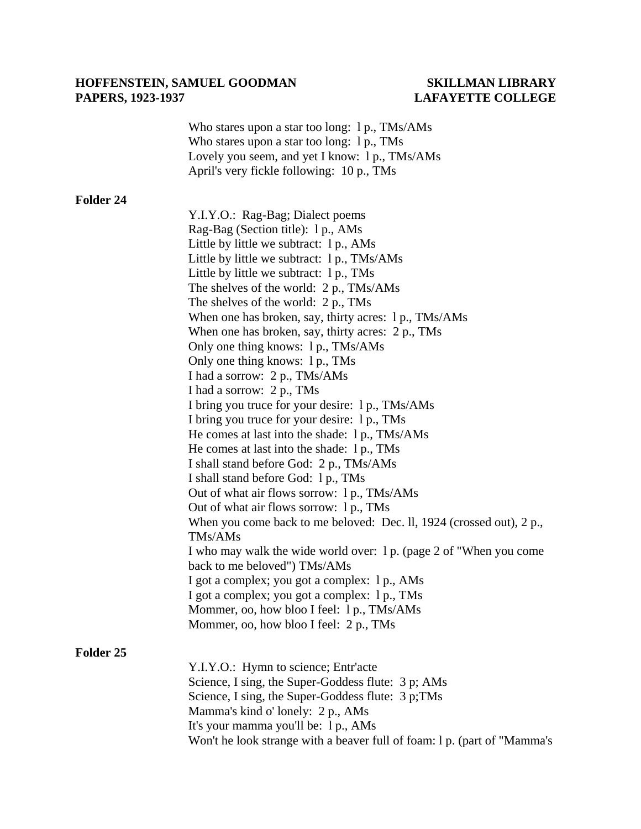Who stares upon a star too long: l p., TMs/AMs Who stares upon a star too long: 1 p., TMs Lovely you seem, and yet I know: 1 p., TMs/AMs April's very fickle following: 10 p., TMs

#### **Folder 24**

Y.I.Y.O.: Rag-Bag; Dialect poems Rag-Bag (Section title): l p., AMs Little by little we subtract: l p., AMs Little by little we subtract: l p., TMs/AMs Little by little we subtract: l p., TMs The shelves of the world: 2 p., TMs/AMs The shelves of the world: 2 p., TMs When one has broken, say, thirty acres: l p., TMs/AMs When one has broken, say, thirty acres: 2 p., TMs Only one thing knows: l p., TMs/AMs Only one thing knows: l p., TMs I had a sorrow: 2 p., TMs/AMs I had a sorrow: 2 p., TMs I bring you truce for your desire: l p., TMs/AMs I bring you truce for your desire: l p., TMs He comes at last into the shade: l p., TMs/AMs He comes at last into the shade: l p., TMs I shall stand before God: 2 p., TMs/AMs I shall stand before God: l p., TMs Out of what air flows sorrow: l p., TMs/AMs Out of what air flows sorrow: l p., TMs When you come back to me beloved: Dec. ll, 1924 (crossed out), 2 p., TMs/AMs I who may walk the wide world over: l p. (page 2 of "When you come back to me beloved") TMs/AMs I got a complex; you got a complex: l p., AMs I got a complex; you got a complex: l p., TMs Mommer, oo, how bloo I feel: l p., TMs/AMs Mommer, oo, how bloo I feel: 2 p., TMs

#### **Folder 25**

 Y.I.Y.O.: Hymn to science; Entr'acte Science, I sing, the Super-Goddess flute: 3 p; AMs Science, I sing, the Super-Goddess flute: 3 p;TMs Mamma's kind o' lonely: 2 p., AMs It's your mamma you'll be: l p., AMs Won't he look strange with a beaver full of foam: l p. (part of "Mamma's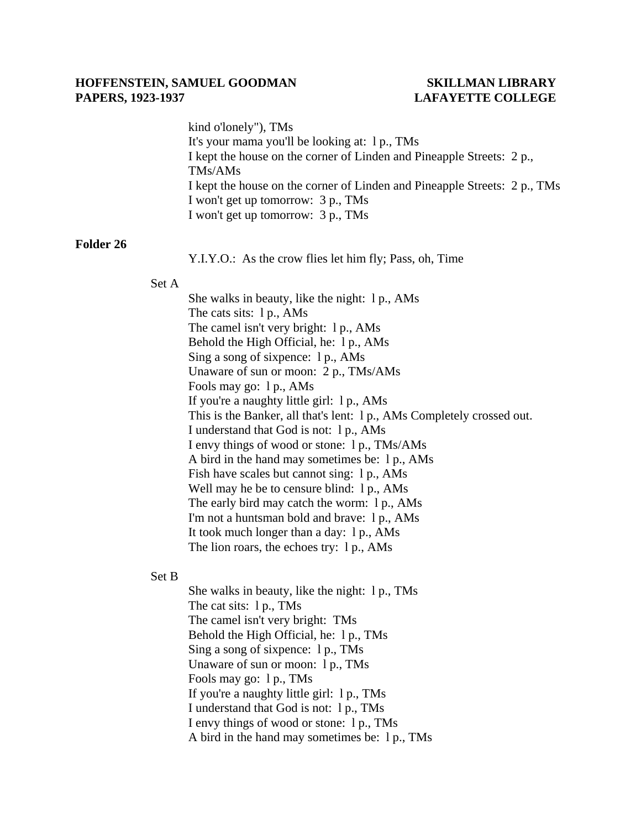kind o'lonely"), TMs It's your mama you'll be looking at: l p., TMs I kept the house on the corner of Linden and Pineapple Streets: 2 p., TMs/AMs I kept the house on the corner of Linden and Pineapple Streets: 2 p., TMs I won't get up tomorrow: 3 p., TMs I won't get up tomorrow: 3 p., TMs

#### **Folder 26**

Y.I.Y.O.: As the crow flies let him fly; Pass, oh, Time

#### Set A

 She walks in beauty, like the night: l p., AMs The cats sits: l p., AMs The camel isn't very bright: l p., AMs Behold the High Official, he: l p., AMs Sing a song of sixpence: l p., AMs Unaware of sun or moon: 2 p., TMs/AMs Fools may go: l p., AMs If you're a naughty little girl: l p., AMs This is the Banker, all that's lent: l p., AMs Completely crossed out. I understand that God is not: l p., AMs I envy things of wood or stone: l p., TMs/AMs A bird in the hand may sometimes be: l p., AMs Fish have scales but cannot sing: l p., AMs Well may he be to censure blind: l p., AMs The early bird may catch the worm: l p., AMs I'm not a huntsman bold and brave: l p., AMs It took much longer than a day: l p., AMs The lion roars, the echoes try: l p., AMs

#### Set B

 She walks in beauty, like the night: l p., TMs The cat sits: l p., TMs The camel isn't very bright: TMs Behold the High Official, he: l p., TMs Sing a song of sixpence: l p., TMs Unaware of sun or moon: l p., TMs Fools may go: l p., TMs If you're a naughty little girl: l p., TMs I understand that God is not: l p., TMs I envy things of wood or stone: l p., TMs A bird in the hand may sometimes be: l p., TMs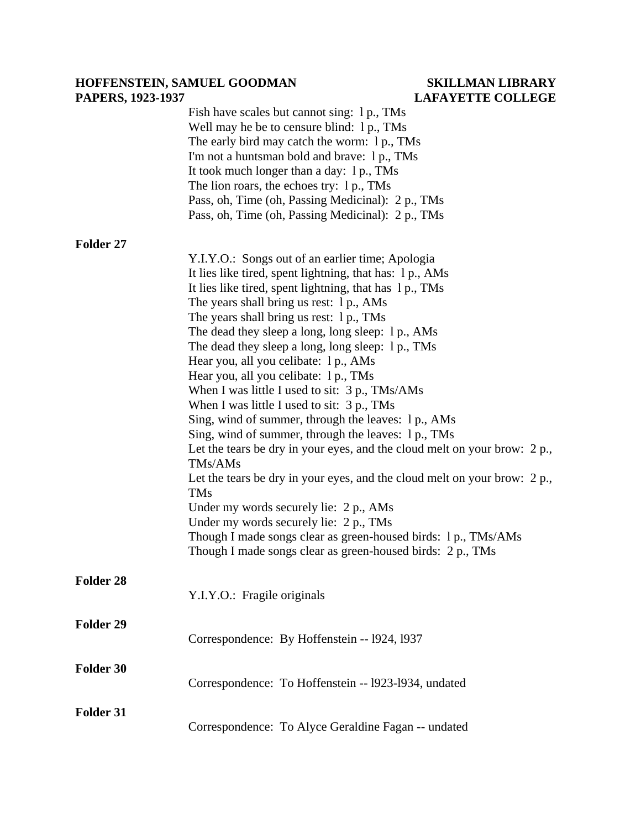## **LAFAYETTE COLLEGE**

| 1 AT EIW, 1725-1757 | LAFA LETTE COLLEGE                                                                                                                                                                                                                                                                                                                                                                                                                                                                                                                                                                                                                                                                                                                                                                                                                                                                                                                                                                                                                                                                           |
|---------------------|----------------------------------------------------------------------------------------------------------------------------------------------------------------------------------------------------------------------------------------------------------------------------------------------------------------------------------------------------------------------------------------------------------------------------------------------------------------------------------------------------------------------------------------------------------------------------------------------------------------------------------------------------------------------------------------------------------------------------------------------------------------------------------------------------------------------------------------------------------------------------------------------------------------------------------------------------------------------------------------------------------------------------------------------------------------------------------------------|
|                     | Fish have scales but cannot sing: 1 p., TMs<br>Well may he be to censure blind: 1 p., TMs<br>The early bird may catch the worm: 1 p., TMs<br>I'm not a huntsman bold and brave: 1 p., TMs<br>It took much longer than a day: 1 p., TMs<br>The lion roars, the echoes try: 1 p., TMs<br>Pass, oh, Time (oh, Passing Medicinal): 2 p., TMs<br>Pass, oh, Time (oh, Passing Medicinal): 2 p., TMs                                                                                                                                                                                                                                                                                                                                                                                                                                                                                                                                                                                                                                                                                                |
| Folder 27           |                                                                                                                                                                                                                                                                                                                                                                                                                                                                                                                                                                                                                                                                                                                                                                                                                                                                                                                                                                                                                                                                                              |
|                     | Y.I.Y.O.: Songs out of an earlier time; Apologia<br>It lies like tired, spent lightning, that has: 1 p., AMs<br>It lies like tired, spent lightning, that has 1 p., TMs<br>The years shall bring us rest: 1 p., AMs<br>The years shall bring us rest: 1 p., TMs<br>The dead they sleep a long, long sleep: 1 p., AMs<br>The dead they sleep a long, long sleep: 1 p., TMs<br>Hear you, all you celibate: 1 p., AMs<br>Hear you, all you celibate: 1 p., TMs<br>When I was little I used to sit: $3 p., TMs/AMS$<br>When I was little I used to sit: 3 p., TMs<br>Sing, wind of summer, through the leaves: 1 p., AMs<br>Sing, wind of summer, through the leaves: 1 p., TMs<br>Let the tears be dry in your eyes, and the cloud melt on your brow: $2 p_{\cdot}$ ,<br>TMs/AMs<br>Let the tears be dry in your eyes, and the cloud melt on your brow: 2 p.,<br><b>TMs</b><br>Under my words securely lie: 2 p., AMs<br>Under my words securely lie: 2 p., TMs<br>Though I made songs clear as green-housed birds: 1 p., TMs/AMs<br>Though I made songs clear as green-housed birds: 2 p., TMs |
| Folder 28           | Y.I.Y.O.: Fragile originals                                                                                                                                                                                                                                                                                                                                                                                                                                                                                                                                                                                                                                                                                                                                                                                                                                                                                                                                                                                                                                                                  |
| Folder 29           | Correspondence: By Hoffenstein -- 1924, 1937                                                                                                                                                                                                                                                                                                                                                                                                                                                                                                                                                                                                                                                                                                                                                                                                                                                                                                                                                                                                                                                 |
| Folder 30           | Correspondence: To Hoffenstein -- 1923-1934, undated                                                                                                                                                                                                                                                                                                                                                                                                                                                                                                                                                                                                                                                                                                                                                                                                                                                                                                                                                                                                                                         |
| Folder 31           | Correspondence: To Alyce Geraldine Fagan -- undated                                                                                                                                                                                                                                                                                                                                                                                                                                                                                                                                                                                                                                                                                                                                                                                                                                                                                                                                                                                                                                          |